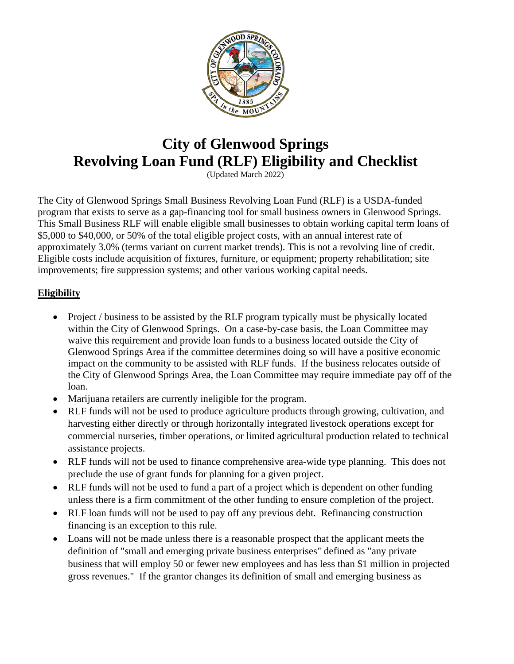

# **City of Glenwood Springs Revolving Loan Fund (RLF) Eligibility and Checklist**

(Updated March 2022)

The City of Glenwood Springs Small Business Revolving Loan Fund (RLF) is a USDA-funded program that exists to serve as a gap-financing tool for small business owners in Glenwood Springs. This Small Business RLF will enable eligible small businesses to obtain working capital term loans of \$5,000 to \$40,000, or 50% of the total eligible project costs, with an annual interest rate of approximately 3.0% (terms variant on current market trends). This is not a revolving line of credit. Eligible costs include acquisition of fixtures, furniture, or equipment; property rehabilitation; site improvements; fire suppression systems; and other various working capital needs.

# **Eligibility**

- Project / business to be assisted by the RLF program typically must be physically located within the City of Glenwood Springs. On a case-by-case basis, the Loan Committee may waive this requirement and provide loan funds to a business located outside the City of Glenwood Springs Area if the committee determines doing so will have a positive economic impact on the community to be assisted with RLF funds. If the business relocates outside of the City of Glenwood Springs Area, the Loan Committee may require immediate pay off of the loan.
- Marijuana retailers are currently ineligible for the program.
- RLF funds will not be used to produce agriculture products through growing, cultivation, and harvesting either directly or through horizontally integrated livestock operations except for commercial nurseries, timber operations, or limited agricultural production related to technical assistance projects.
- RLF funds will not be used to finance comprehensive area-wide type planning. This does not preclude the use of grant funds for planning for a given project.
- RLF funds will not be used to fund a part of a project which is dependent on other funding unless there is a firm commitment of the other funding to ensure completion of the project.
- RLF loan funds will not be used to pay off any previous debt. Refinancing construction financing is an exception to this rule.
- Loans will not be made unless there is a reasonable prospect that the applicant meets the definition of "small and emerging private business enterprises" defined as "any private business that will employ 50 or fewer new employees and has less than \$1 million in projected gross revenues." If the grantor changes its definition of small and emerging business as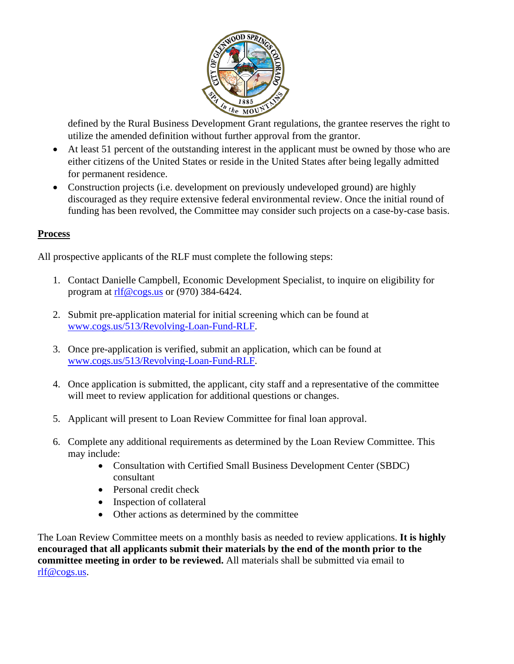

defined by the Rural Business Development Grant regulations, the grantee reserves the right to utilize the amended definition without further approval from the grantor.

- At least 51 percent of the outstanding interest in the applicant must be owned by those who are either citizens of the United States or reside in the United States after being legally admitted for permanent residence.
- Construction projects (i.e. development on previously undeveloped ground) are highly discouraged as they require extensive federal environmental review. Once the initial round of funding has been revolved, the Committee may consider such projects on a case-by-case basis.

#### **Process**

All prospective applicants of the RLF must complete the following steps:

- 1. Contact Danielle Campbell, Economic Development Specialist, to inquire on eligibility for program at [rlf@cogs.us](mailto:rlf@cogs.us) or (970) 384-6424.
- 2. Submit pre-application material for initial screening which can be found at [www.cogs.us/513/Revolving-Loan-Fund-RLF.](http://www.cogs.us/513/Revolving-Loan-Fund-RLF)
- 3. Once pre-application is verified, submit an application, which can be found at [www.cogs.us/513/Revolving-Loan-Fund-RLF.](http://www.cogs.us/513/Revolving-Loan-Fund-RLF)
- 4. Once application is submitted, the applicant, city staff and a representative of the committee will meet to review application for additional questions or changes.
- 5. Applicant will present to Loan Review Committee for final loan approval.
- 6. Complete any additional requirements as determined by the Loan Review Committee. This may include:
	- Consultation with Certified Small Business Development Center (SBDC) consultant
	- Personal credit check
	- Inspection of collateral
	- Other actions as determined by the committee

The Loan Review Committee meets on a monthly basis as needed to review applications. **It is highly encouraged that all applicants submit their materials by the end of the month prior to the committee meeting in order to be reviewed.** All materials shall be submitted via email to [rlf@cogs.us.](mailto:rlf@cogs.us)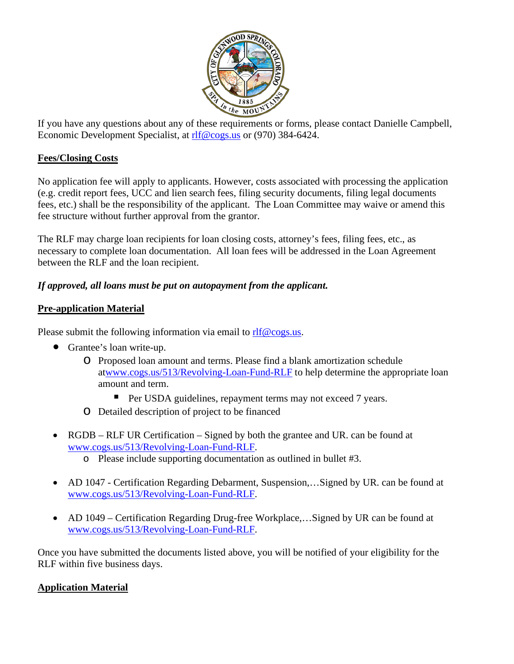

If you have any questions about any of these requirements or forms, please contact Danielle Campbell, Economic Development Specialist, at [rlf@cogs.us](mailto:rlf@cogs.us) or (970) 384-6424.

## **Fees/Closing Costs**

No application fee will apply to applicants. However, costs associated with processing the application (e.g. credit report fees, UCC and lien search fees, filing security documents, filing legal documents fees, etc.) shall be the responsibility of the applicant. The Loan Committee may waive or amend this fee structure without further approval from the grantor.

The RLF may charge loan recipients for loan closing costs, attorney's fees, filing fees, etc., as necessary to complete loan documentation. All loan fees will be addressed in the Loan Agreement between the RLF and the loan recipient.

## *If approved, all loans must be put on autopayment from the applicant.*

## **Pre-application Material**

Please submit the following information via email to  $\frac{r}{r}$   $\frac{r}{r}$   $\frac{r}{r}$ 

- Grantee's loan write-up.
	- o Proposed loan amount and terms. Please find a blank amortization schedule a[twww.cogs.us/513/Revolving-Loan-Fund-RLF](http://www.cogs.us/513/Revolving-Loan-Fund-RLF) to help determine the appropriate loan amount and term.
		- Per USDA guidelines, repayment terms may not exceed 7 years.
	- o Detailed description of project to be financed
- RGDB RLF UR Certification Signed by both the grantee and UR. can be found at [www.cogs.us/513/Revolving-Loan-Fund-RLF.](http://www.cogs.us/513/Revolving-Loan-Fund-RLF)
	- o Please include supporting documentation as outlined in bullet #3.
- AD 1047 Certification Regarding Debarment, Suspension,...Signed by UR. can be found at [www.cogs.us/513/Revolving-Loan-Fund-RLF.](http://www.cogs.us/513/Revolving-Loan-Fund-RLF)
- AD 1049 Certification Regarding Drug-free Workplace,...Signed by UR can be found at [www.cogs.us/513/Revolving-Loan-Fund-RLF.](http://www.cogs.us/513/Revolving-Loan-Fund-RLF)

Once you have submitted the documents listed above, you will be notified of your eligibility for the RLF within five business days.

#### **Application Material**